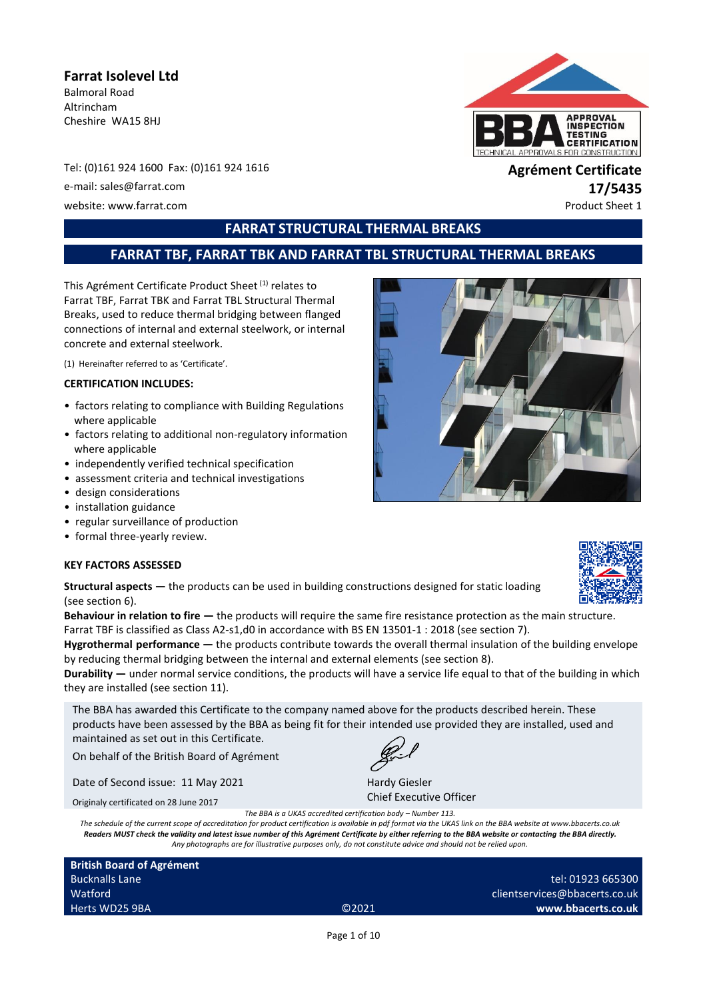# **Farrat Isolevel Ltd**

Balmoral Road Altrincham Cheshire WA15 8HJ



Tel: (0)161 924 1600 Fax: (0)161 924 1616 **Agrément Certificate** e-mail: sales@farrat.com **17/5435**<br>
website: www.farrat.com **17/6435** website: www.farrat.com

# **FARRAT STRUCTURAL THERMAL BREAKS**

# **FARRAT TBF, FARRAT TBK AND FARRAT TBL STRUCTURAL THERMAL BREAKS**

This Agrément Certificate Product Sheet<sup>(1)</sup> relates to Farrat TBF, Farrat TBK and Farrat TBL Structural Thermal Breaks, used to reduce thermal bridging between flanged connections of internal and external steelwork, or internal concrete and external steelwork.

(1) Hereinafter referred to as 'Certificate'.

#### **CERTIFICATION INCLUDES:**

- factors relating to compliance with Building Regulations where applicable
- factors relating to additional non-regulatory information where applicable
- independently verified technical specification
- assessment criteria and technical investigations
- design considerations
- installation guidance
- regular surveillance of production
- formal three-yearly review.

#### **KEY FACTORS ASSESSED**



**Structural aspects —** the products can be used in building constructions designed for static loading (see section 6).

**Behaviour in relation to fire**  $-$  **the products will require the same fire resistance protection as the main structure.** Farrat TBF is classified as Class A2-s1,d0 in accordance with BS EN 13501-1 : 2018 (see section 7).

**Hygrothermal performance —** the products contribute towards the overall thermal insulation of the building envelope by reducing thermal bridging between the internal and external elements (see section 8).

**Durability —** under normal service conditions, the products will have a service life equal to that of the building in which they are installed (see section 11).

The BBA has awarded this Certificate to the company named above for the products described herein. These products have been assessed by the BBA as being fit for their intended use provided they are installed, used and maintained as set out in this Certificate.

On behalf of the British Board of Agrément

Date of Second issue: 11 May 2021

Hardy Giesler Chief Executive Officer

Originaly certificated on 28 June 2017

*The BBA is a UKAS accredited certification body – Number 113.*

*The schedule of the current scope of accreditation for product certification is available in pdf format via the UKAS link on the BBA website at www.bbacerts.co.uk Readers MUST check the validity and latest issue number of this Agrément Certificate by either referring to the BBA website or contacting the BBA directly. Any photographs are for illustrative purposes only, do not constitute advice and should not be relied upon.*

| <b>British Board of Agrément</b> |                   |                               |
|----------------------------------|-------------------|-------------------------------|
| <b>Bucknalls Lane</b>            |                   | tel: 01923 665300             |
| Watford                          |                   | clientservices@bbacerts.co.uk |
| Herts WD25 9BA                   | C <sub>2021</sub> | www.bbacerts.co.uk            |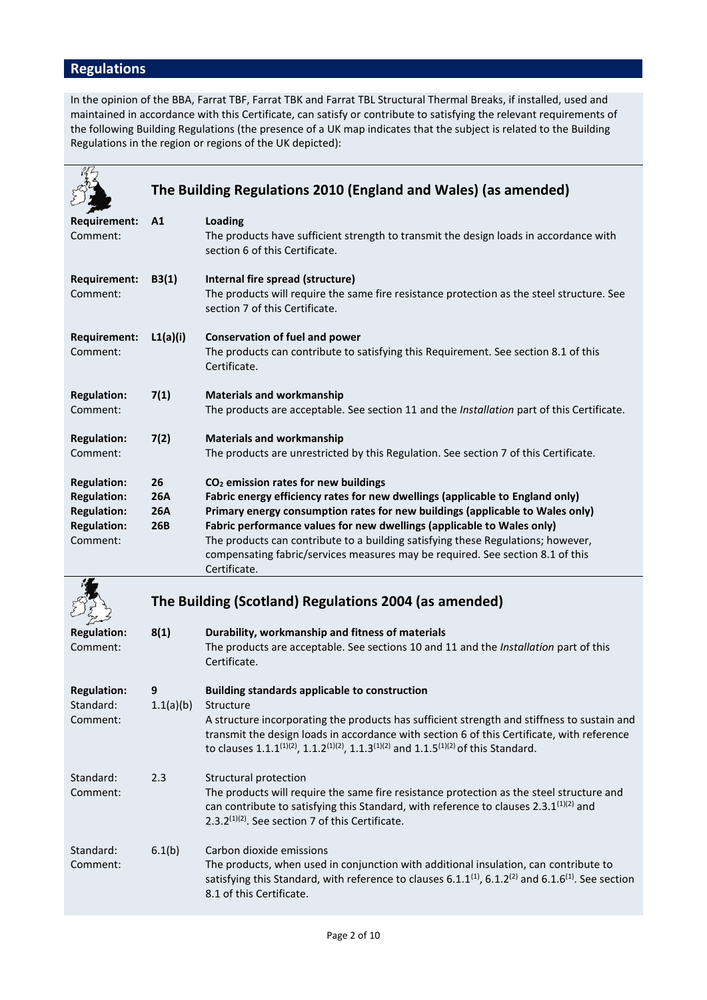# **Regulations**

In the opinion of the BBA, Farrat TBF, Farrat TBK and Farrat TBL Structural Thermal Breaks, if installed, used and maintained in accordance with this Certificate, can satisfy or contribute to satisfying the relevant requirements of the following Building Regulations (the presence of a UK map indicates that the subject is related to the Building Regulations in the region or regions of the UK depicted):

|                                                                                                  |                                       | The Building Regulations 2010 (England and Wales) (as amended)                                                                                                                                                                                                                                                                                                                                                                                                                     |
|--------------------------------------------------------------------------------------------------|---------------------------------------|------------------------------------------------------------------------------------------------------------------------------------------------------------------------------------------------------------------------------------------------------------------------------------------------------------------------------------------------------------------------------------------------------------------------------------------------------------------------------------|
| <b>Requirement:</b><br>Comment:                                                                  | A1                                    | Loading<br>The products have sufficient strength to transmit the design loads in accordance with<br>section 6 of this Certificate.                                                                                                                                                                                                                                                                                                                                                 |
| Requirement:<br>Comment:                                                                         | B3(1)                                 | Internal fire spread (structure)<br>The products will require the same fire resistance protection as the steel structure. See<br>section 7 of this Certificate.                                                                                                                                                                                                                                                                                                                    |
| <b>Requirement:</b><br>Comment:                                                                  | L1(a)(i)                              | <b>Conservation of fuel and power</b><br>The products can contribute to satisfying this Requirement. See section 8.1 of this<br>Certificate.                                                                                                                                                                                                                                                                                                                                       |
| <b>Regulation:</b><br>Comment:                                                                   | 7(1)                                  | <b>Materials and workmanship</b><br>The products are acceptable. See section 11 and the Installation part of this Certificate.                                                                                                                                                                                                                                                                                                                                                     |
| <b>Regulation:</b><br>Comment:                                                                   | 7(2)                                  | <b>Materials and workmanship</b><br>The products are unrestricted by this Regulation. See section 7 of this Certificate.                                                                                                                                                                                                                                                                                                                                                           |
| <b>Regulation:</b><br><b>Regulation:</b><br><b>Regulation:</b><br><b>Regulation:</b><br>Comment: | 26<br><b>26A</b><br><b>26A</b><br>26B | CO <sub>2</sub> emission rates for new buildings<br>Fabric energy efficiency rates for new dwellings (applicable to England only)<br>Primary energy consumption rates for new buildings (applicable to Wales only)<br>Fabric performance values for new dwellings (applicable to Wales only)<br>The products can contribute to a building satisfying these Regulations; however,<br>compensating fabric/services measures may be required. See section 8.1 of this<br>Certificate. |
|                                                                                                  |                                       | The Building (Scotland) Regulations 2004 (as amended)                                                                                                                                                                                                                                                                                                                                                                                                                              |
| <b>Regulation:</b><br>Comment:                                                                   | 8(1)                                  | Durability, workmanship and fitness of materials<br>The products are acceptable. See sections 10 and 11 and the Installation part of this<br>Certificate.                                                                                                                                                                                                                                                                                                                          |
| <b>Regulation:</b><br>Standard:<br>Comment:                                                      | 9<br>1.1(a)(b)                        | <b>Building standards applicable to construction</b><br>Structure<br>A structure incorporating the products has sufficient strength and stiffness to sustain and<br>transmit the design loads in accordance with section 6 of this Certificate, with reference<br>to clauses 1.1.1 <sup>(1)(2)</sup> , 1.1.2 <sup>(1)(2)</sup> , 1.1.3 <sup>(1)(2)</sup> and 1.1.5 <sup>(1)(2)</sup> of this Standard.                                                                             |
| Standard:<br>Comment:                                                                            | 2.3                                   | Structural protection<br>The products will require the same fire resistance protection as the steel structure and<br>can contribute to satisfying this Standard, with reference to clauses 2.3.1 <sup>(1)(2)</sup> and<br>2.3.2 $(1)(2)$ . See section 7 of this Certificate.                                                                                                                                                                                                      |
| Standard:<br>Comment:                                                                            | 6.1(b)                                | Carbon dioxide emissions<br>The products, when used in conjunction with additional insulation, can contribute to<br>satisfying this Standard, with reference to clauses 6.1.1 <sup>(1)</sup> , 6.1.2 <sup>(2)</sup> and 6.1.6 <sup>(1)</sup> . See section<br>8.1 of this Certificate.                                                                                                                                                                                             |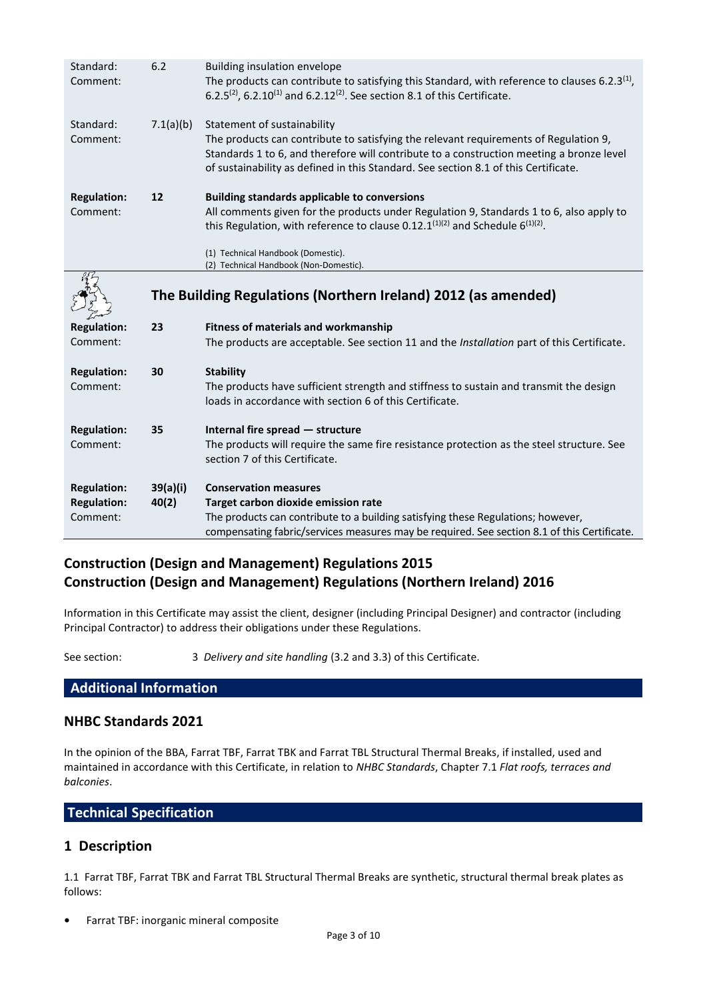| Standard:<br>Comment:                    | 6.2               | <b>Building insulation envelope</b><br>The products can contribute to satisfying this Standard, with reference to clauses 6.2.3 <sup>(1)</sup> ,<br>6.2.5 <sup>(2)</sup> , 6.2.10 <sup>(1)</sup> and 6.2.12 <sup>(2)</sup> . See section 8.1 of this Certificate.                                      |
|------------------------------------------|-------------------|--------------------------------------------------------------------------------------------------------------------------------------------------------------------------------------------------------------------------------------------------------------------------------------------------------|
| Standard:<br>Comment:                    | 7.1(a)(b)         | Statement of sustainability<br>The products can contribute to satisfying the relevant requirements of Regulation 9,<br>Standards 1 to 6, and therefore will contribute to a construction meeting a bronze level<br>of sustainability as defined in this Standard. See section 8.1 of this Certificate. |
| <b>Regulation:</b>                       | 12                | <b>Building standards applicable to conversions</b>                                                                                                                                                                                                                                                    |
| Comment:                                 |                   | All comments given for the products under Regulation 9, Standards 1 to 6, also apply to<br>this Regulation, with reference to clause 0.12.1 <sup>(1)(2)</sup> and Schedule $6^{(1)(2)}$ .                                                                                                              |
|                                          |                   | (1) Technical Handbook (Domestic).                                                                                                                                                                                                                                                                     |
|                                          |                   | (2) Technical Handbook (Non-Domestic).                                                                                                                                                                                                                                                                 |
|                                          |                   | The Building Regulations (Northern Ireland) 2012 (as amended)                                                                                                                                                                                                                                          |
|                                          |                   |                                                                                                                                                                                                                                                                                                        |
|                                          | 23                |                                                                                                                                                                                                                                                                                                        |
| <b>Regulation:</b><br>Comment:           |                   | <b>Fitness of materials and workmanship</b><br>The products are acceptable. See section 11 and the Installation part of this Certificate.                                                                                                                                                              |
|                                          | 30                |                                                                                                                                                                                                                                                                                                        |
| <b>Regulation:</b><br>Comment:           |                   | <b>Stability</b><br>The products have sufficient strength and stiffness to sustain and transmit the design<br>loads in accordance with section 6 of this Certificate.                                                                                                                                  |
|                                          |                   |                                                                                                                                                                                                                                                                                                        |
| <b>Regulation:</b><br>Comment:           | 35                | Internal fire spread - structure<br>The products will require the same fire resistance protection as the steel structure. See<br>section 7 of this Certificate.                                                                                                                                        |
|                                          |                   | <b>Conservation measures</b>                                                                                                                                                                                                                                                                           |
| <b>Regulation:</b><br><b>Regulation:</b> | 39(a)(i)<br>40(2) | Target carbon dioxide emission rate                                                                                                                                                                                                                                                                    |
| Comment:                                 |                   | The products can contribute to a building satisfying these Regulations; however,<br>compensating fabric/services measures may be required. See section 8.1 of this Certificate.                                                                                                                        |

# **Construction (Design and Management) Regulations 2015 Construction (Design and Management) Regulations (Northern Ireland) 2016**

Information in this Certificate may assist the client, designer (including Principal Designer) and contractor (including Principal Contractor) to address their obligations under these Regulations.

See section: 3 *Delivery and site handling* (3.2 and 3.3) of this Certificate.

# **Additional Information**

# **NHBC Standards 2021**

In the opinion of the BBA, Farrat TBF, Farrat TBK and Farrat TBL Structural Thermal Breaks, if installed, used and maintained in accordance with this Certificate, in relation to *NHBC Standards*, Chapter 7.1 *Flat roofs, terraces and balconies*.

# **Technical Specification**

# **1 Description**

1.1 Farrat TBF, Farrat TBK and Farrat TBL Structural Thermal Breaks are synthetic, structural thermal break plates as follows:

**•** Farrat TBF: inorganic mineral composite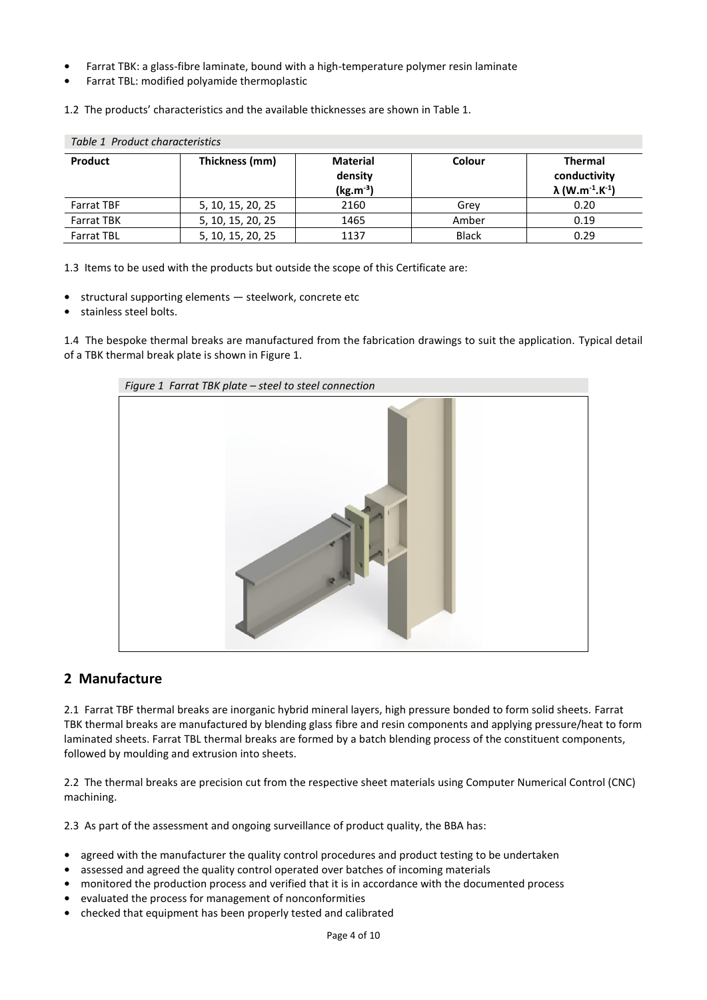- **•** Farrat TBK: a glass-fibre laminate, bound with a high-temperature polymer resin laminate
- **•** Farrat TBL: modified polyamide thermoplastic

1.2 The products' characteristics and the available thicknesses are shown in Table 1.

| Table 1 Product characteristics |                   |                                             |              |                                                                                   |
|---------------------------------|-------------------|---------------------------------------------|--------------|-----------------------------------------------------------------------------------|
| <b>Product</b>                  | Thickness (mm)    | <b>Material</b><br>density<br>$(kg.m^{-3})$ | Colour       | <b>Thermal</b><br>conductivity<br>$\lambda$ (W.m <sup>-1</sup> .K <sup>-1</sup> ) |
| <b>Farrat TBF</b>               | 5, 10, 15, 20, 25 | 2160                                        | Grev         | 0.20                                                                              |
| <b>Farrat TBK</b>               | 5, 10, 15, 20, 25 | 1465                                        | Amber        | 0.19                                                                              |
| <b>Farrat TBL</b>               | 5, 10, 15, 20, 25 | 1137                                        | <b>Black</b> | 0.29                                                                              |

1.3 Items to be used with the products but outside the scope of this Certificate are:

- **•** structural supporting elements steelwork, concrete etc
- **•** stainless steel bolts.

1.4 The bespoke thermal breaks are manufactured from the fabrication drawings to suit the application. Typical detail of a TBK thermal break plate is shown in Figure 1.



## **2 Manufacture**

2.1 Farrat TBF thermal breaks are inorganic hybrid mineral layers, high pressure bonded to form solid sheets. Farrat TBK thermal breaks are manufactured by blending glass fibre and resin components and applying pressure/heat to form laminated sheets. Farrat TBL thermal breaks are formed by a batch blending process of the constituent components, followed by moulding and extrusion into sheets.

2.2 The thermal breaks are precision cut from the respective sheet materials using Computer Numerical Control (CNC) machining.

2.3 As part of the assessment and ongoing surveillance of product quality, the BBA has:

- agreed with the manufacturer the quality control procedures and product testing to be undertaken
- **•** assessed and agreed the quality control operated over batches of incoming materials
- **•** monitored the production process and verified that it is in accordance with the documented process
- **•** evaluated the process for management of nonconformities
- **•** checked that equipment has been properly tested and calibrated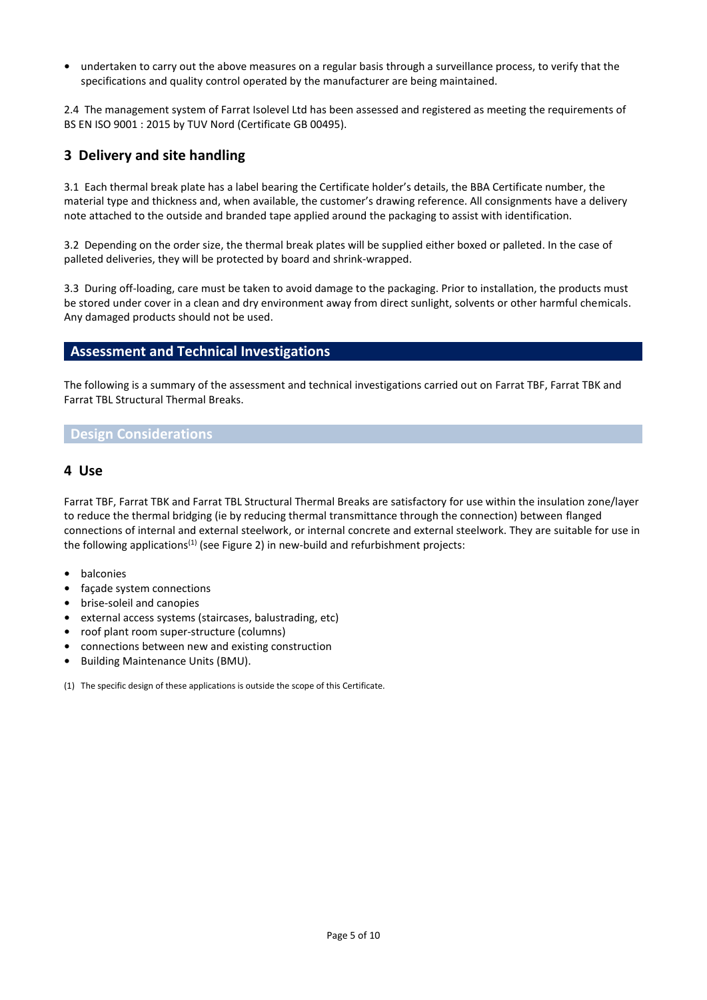**•** undertaken to carry out the above measures on a regular basis through a surveillance process, to verify that the specifications and quality control operated by the manufacturer are being maintained.

2.4 The management system of Farrat Isolevel Ltd has been assessed and registered as meeting the requirements of BS EN ISO 9001 : 2015 by TUV Nord (Certificate GB 00495).

# **3 Delivery and site handling**

3.1 Each thermal break plate has a label bearing the Certificate holder's details, the BBA Certificate number, the material type and thickness and, when available, the customer's drawing reference. All consignments have a delivery note attached to the outside and branded tape applied around the packaging to assist with identification.

3.2 Depending on the order size, the thermal break plates will be supplied either boxed or palleted. In the case of palleted deliveries, they will be protected by board and shrink-wrapped.

3.3 During off-loading, care must be taken to avoid damage to the packaging. Prior to installation, the products must be stored under cover in a clean and dry environment away from direct sunlight, solvents or other harmful chemicals. Any damaged products should not be used.

## **Assessment and Technical Investigations**

The following is a summary of the assessment and technical investigations carried out on Farrat TBF, Farrat TBK and Farrat TBL Structural Thermal Breaks.

### **Design Considerations**

#### **4 Use**

Farrat TBF, Farrat TBK and Farrat TBL Structural Thermal Breaks are satisfactory for use within the insulation zone/layer to reduce the thermal bridging (ie by reducing thermal transmittance through the connection) between flanged connections of internal and external steelwork, or internal concrete and external steelwork. They are suitable for use in the following applications<sup>(1)</sup> (see Figure 2) in new-build and refurbishment projects:

- **•** balconies
- **•** façade system connections
- **•** brise-soleil and canopies
- **•** external access systems (staircases, balustrading, etc)
- **•** roof plant room super-structure (columns)
- **•** connections between new and existing construction
- **•** Building Maintenance Units (BMU).

(1) The specific design of these applications is outside the scope of this Certificate.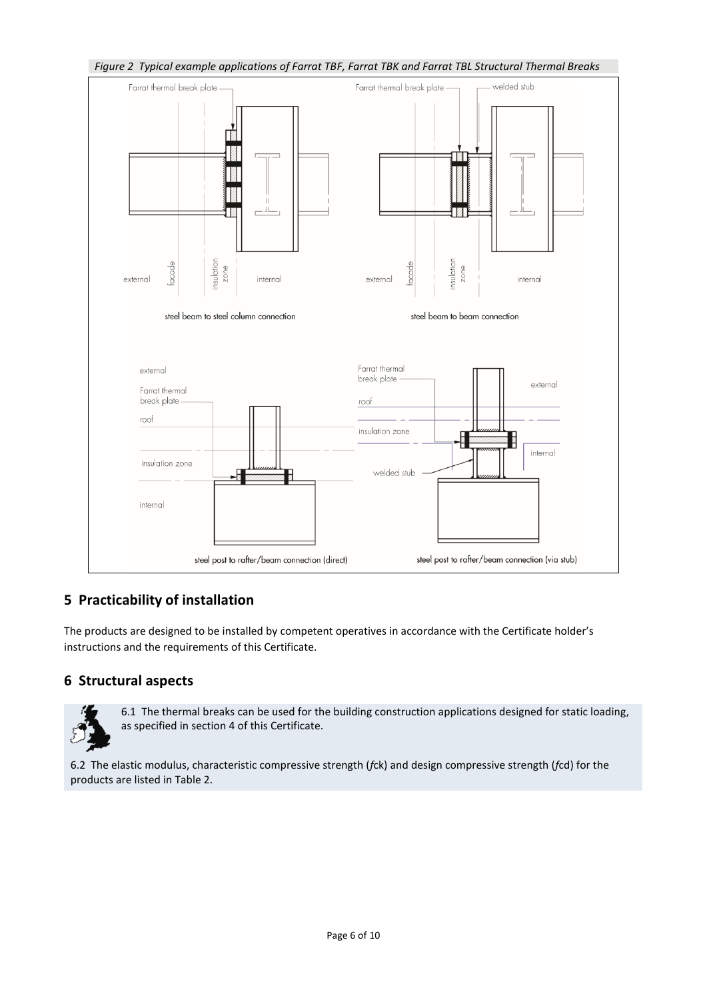

# **5 Practicability of installation**

The products are designed to be installed by competent operatives in accordance with the Certificate holder's instructions and the requirements of this Certificate.

# **6 Structural aspects**



6.1 The thermal breaks can be used for the building construction applications designed for static loading, as specified in section 4 of this Certificate.

6.2 The elastic modulus, characteristic compressive strength (*f*ck) and design compressive strength (*f*cd) for the products are listed in Table 2.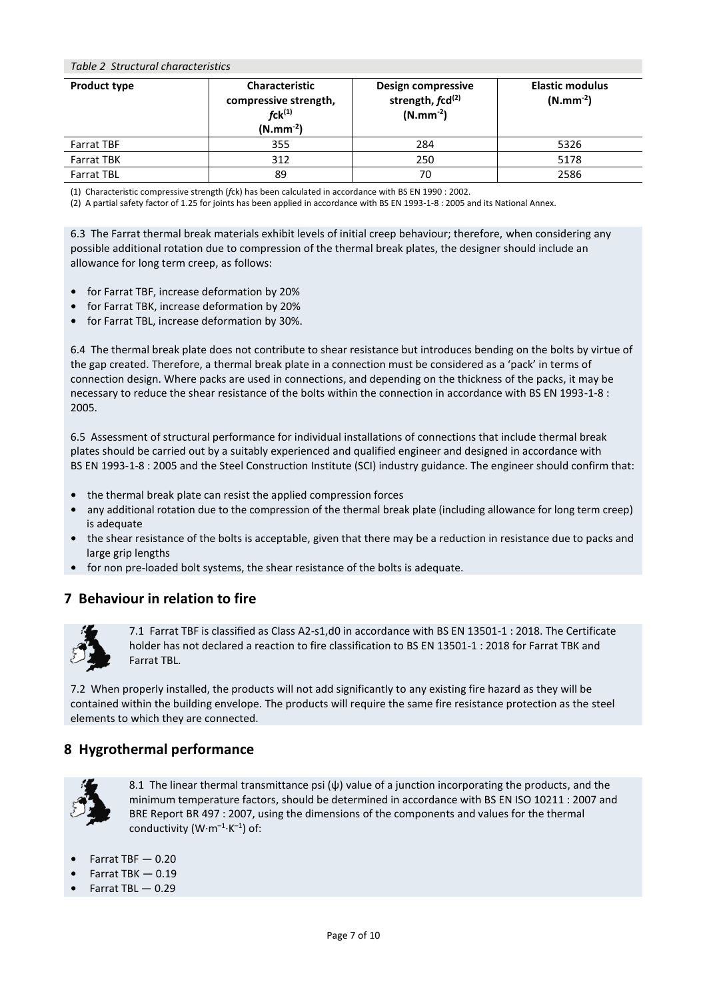#### *Table 2 Structural characteristics*

| <b>Product type</b> | <b>Characteristic</b><br>compressive strength,<br>$fck^{(1)}$<br>$(N.mm^{-2})$ | Design compressive<br>strength, fcd <sup>(2)</sup><br>$(N.mm^{-2})$ | <b>Elastic modulus</b><br>$(N.mm^{-2})$ |
|---------------------|--------------------------------------------------------------------------------|---------------------------------------------------------------------|-----------------------------------------|
| <b>Farrat TBF</b>   | 355                                                                            | 284                                                                 | 5326                                    |
| <b>Farrat TBK</b>   | 312                                                                            | 250                                                                 | 5178                                    |
| <b>Farrat TBL</b>   | 89                                                                             | 70                                                                  | 2586                                    |

(1) Characteristic compressive strength (*f*ck) has been calculated in accordance with BS EN 1990 : 2002.

(2) A partial safety factor of 1.25 for joints has been applied in accordance with BS EN 1993-1-8 : 2005 and its National Annex.

6.3 The Farrat thermal break materials exhibit levels of initial creep behaviour; therefore, when considering any possible additional rotation due to compression of the thermal break plates, the designer should include an allowance for long term creep, as follows:

- **•** for Farrat TBF, increase deformation by 20%
- **•** for Farrat TBK, increase deformation by 20%
- **•** for Farrat TBL, increase deformation by 30%.

6.4 The thermal break plate does not contribute to shear resistance but introduces bending on the bolts by virtue of the gap created. Therefore, a thermal break plate in a connection must be considered as a 'pack' in terms of connection design. Where packs are used in connections, and depending on the thickness of the packs, it may be necessary to reduce the shear resistance of the bolts within the connection in accordance with BS EN 1993-1-8 : 2005.

6.5 Assessment of structural performance for individual installations of connections that include thermal break plates should be carried out by a suitably experienced and qualified engineer and designed in accordance with BS EN 1993-1-8 : 2005 and the Steel Construction Institute (SCI) industry guidance. The engineer should confirm that:

- **•** the thermal break plate can resist the applied compression forces
- **•** any additional rotation due to the compression of the thermal break plate (including allowance for long term creep) is adequate
- **•** the shear resistance of the bolts is acceptable, given that there may be a reduction in resistance due to packs and large grip lengths
- **•** for non pre-loaded bolt systems, the shear resistance of the bolts is adequate.

## **7 Behaviour in relation to fire**



7.1 Farrat TBF is classified as Class A2-s1,d0 in accordance with BS EN 13501-1 : 2018. The Certificate holder has not declared a reaction to fire classification to BS EN 13501-1 : 2018 for Farrat TBK and Farrat TBL.

7.2 When properly installed, the products will not add significantly to any existing fire hazard as they will be contained within the building envelope. The products will require the same fire resistance protection as the steel elements to which they are connected.

#### **8 Hygrothermal performance**



8.1 The linear thermal transmittance psi (ѱ) value of a junction incorporating the products, and the minimum temperature factors, should be determined in accordance with BS EN ISO 10211 : 2007 and BRE Report BR 497 : 2007, using the dimensions of the components and values for the thermal conductivity (W $\cdot$ m $^{-1}\cdot$ K $^{-1}$ ) of:

- **•** Farrat TBF 0.20
- **•** Farrat TBK 0.19
- **•** Farrat TBL 0.29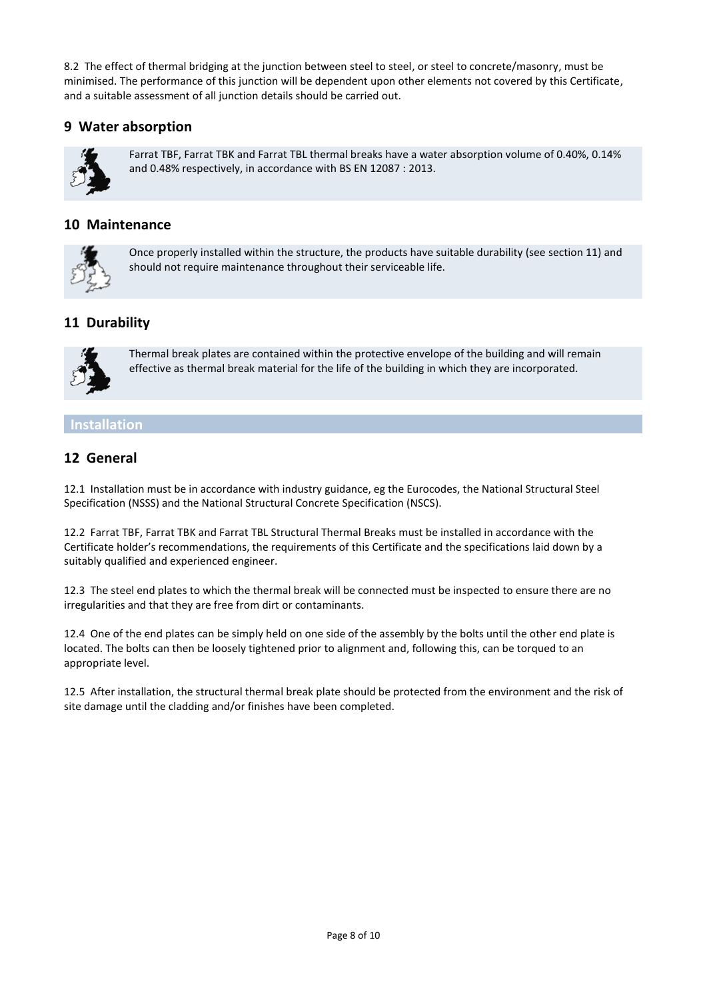8.2 The effect of thermal bridging at the junction between steel to steel, or steel to concrete/masonry, must be minimised. The performance of this junction will be dependent upon other elements not covered by this Certificate, and a suitable assessment of all junction details should be carried out.

## **9 Water absorption**



Farrat TBF, Farrat TBK and Farrat TBL thermal breaks have a water absorption volume of 0.40%, 0.14% and 0.48% respectively, in accordance with BS EN 12087 : 2013.

## **10 Maintenance**



Once properly installed within the structure, the products have suitable durability (see section 11) and should not require maintenance throughout their serviceable life.

# **11 Durability**



Thermal break plates are contained within the protective envelope of the building and will remain effective as thermal break material for the life of the building in which they are incorporated.

## **Installation**

## **12 General**

12.1 Installation must be in accordance with industry guidance, eg the Eurocodes, the National Structural Steel Specification (NSSS) and the National Structural Concrete Specification (NSCS).

12.2 Farrat TBF, Farrat TBK and Farrat TBL Structural Thermal Breaks must be installed in accordance with the Certificate holder's recommendations, the requirements of this Certificate and the specifications laid down by a suitably qualified and experienced engineer.

12.3 The steel end plates to which the thermal break will be connected must be inspected to ensure there are no irregularities and that they are free from dirt or contaminants.

12.4 One of the end plates can be simply held on one side of the assembly by the bolts until the other end plate is located. The bolts can then be loosely tightened prior to alignment and, following this, can be torqued to an appropriate level.

12.5 After installation, the structural thermal break plate should be protected from the environment and the risk of site damage until the cladding and/or finishes have been completed.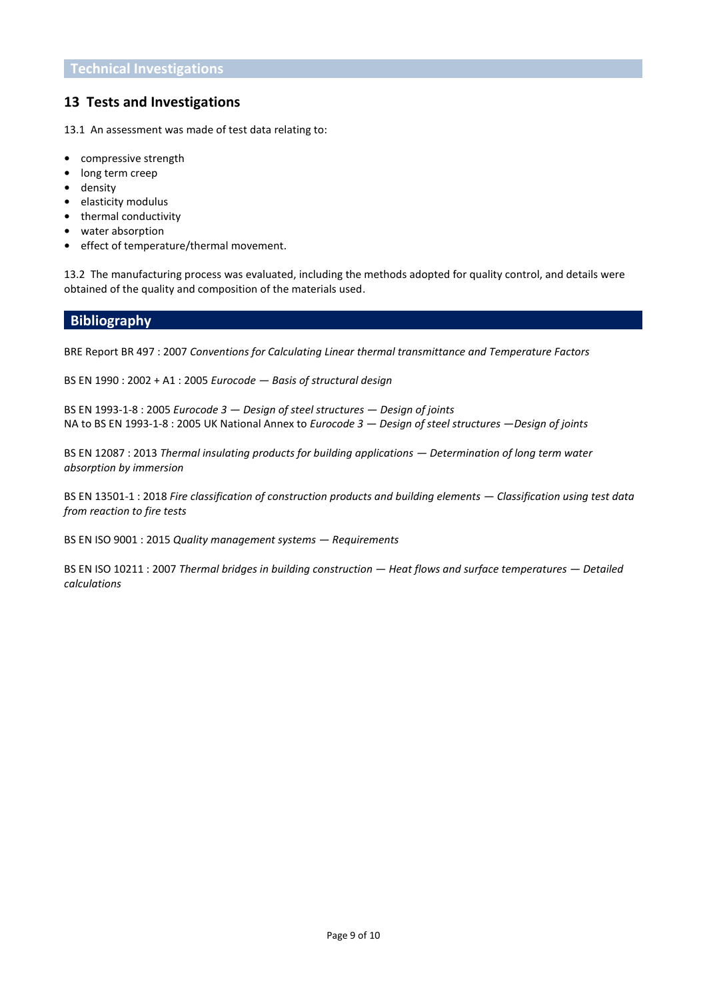## **13 Tests and Investigations**

13.1 An assessment was made of test data relating to:

- **•** compressive strength
- **•** long term creep
- **•** density
- **•** elasticity modulus
- **•** thermal conductivity
- **•** water absorption
- **•** effect of temperature/thermal movement.

13.2 The manufacturing process was evaluated, including the methods adopted for quality control, and details were obtained of the quality and composition of the materials used.

#### **Bibliography**

BRE Report BR 497 : 2007 *Conventions for Calculating Linear thermal transmittance and Temperature Factors*

BS EN 1990 : 2002 + A1 : 2005 *Eurocode — Basis of structural design*

BS EN 1993-1-8 : 2005 *Eurocode 3 — Design of steel structures — Design of joints* NA to BS EN 1993-1-8 : 2005 UK National Annex to *Eurocode 3 — Design of steel structures —Design of joints*

BS EN 12087 : 2013 *Thermal insulating products for building applications — Determination of long term water absorption by immersion*

BS EN 13501-1 : 2018 *Fire classification of construction products and building elements — Classification using test data from reaction to fire tests* 

BS EN ISO 9001 : 2015 *Quality management systems — Requirements*

BS EN ISO 10211 : 2007 *Thermal bridges in building construction — Heat flows and surface temperatures — Detailed calculations*